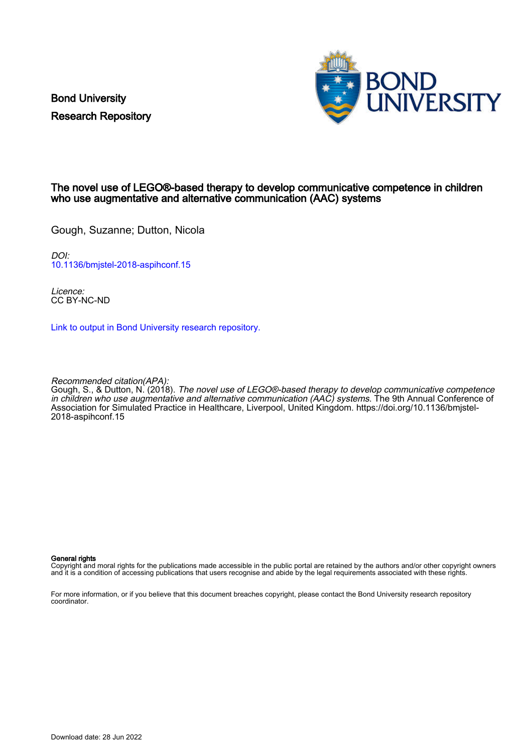Bond University Research Repository



#### The novel use of LEGO®-based therapy to develop communicative competence in children who use augmentative and alternative communication (AAC) systems

Gough, Suzanne; Dutton, Nicola

DOI: [10.1136/bmjstel-2018-aspihconf.15](https://doi.org/10.1136/bmjstel-2018-aspihconf.15)

Licence: CC BY-NC-ND

[Link to output in Bond University research repository.](https://research.bond.edu.au/en/publications/f8937810-97f3-4092-9135-bc6eb0c4ccf5)

Recommended citation(APA):

Gough, S., & Dutton, N. (2018). The novel use of LEGO®-based therapy to develop communicative competence in children who use augmentative and alternative communication (AAC) systems. The 9th Annual Conference of Association for Simulated Practice in Healthcare, Liverpool, United Kingdom. [https://doi.org/10.1136/bmjstel-](https://doi.org/10.1136/bmjstel-2018-aspihconf.15)[2018-aspihconf.15](https://doi.org/10.1136/bmjstel-2018-aspihconf.15)

#### General rights

Copyright and moral rights for the publications made accessible in the public portal are retained by the authors and/or other copyright owners and it is a condition of accessing publications that users recognise and abide by the legal requirements associated with these rights.

For more information, or if you believe that this document breaches copyright, please contact the Bond University research repository coordinator.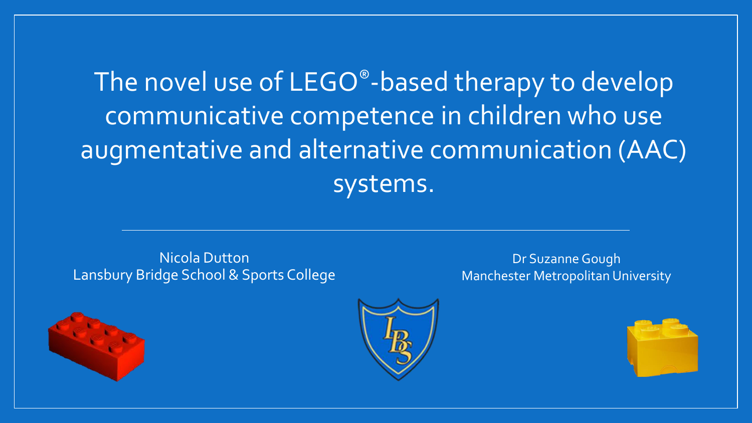#### The novel use of LEGO®-based therapy to develop communicative competence in children who use augmentative and alternative communication (AAC) systems.

#### Nicola Dutton Lansbury Bridge School & Sports College

Dr Suzanne Gough Manchester Metropolitan University





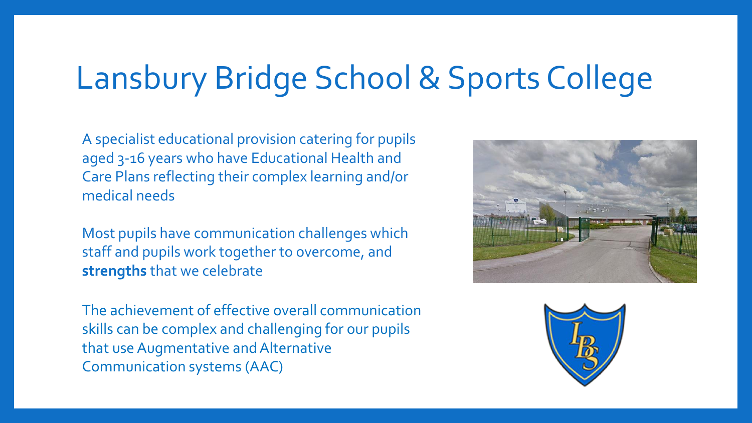# Lansbury Bridge School & Sports College

A specialist educational provision catering for pupils aged 3-16 years who have Educational Health and Care Plans reflecting their complex learning and/or medical needs

Most pupils have communication challenges which staff and pupils work together to overcome, and **strengths** that we celebrate

The achievement of effective overall communication skills can be complex and challenging for our pupils that use Augmentative and Alternative Communication systems (AAC)



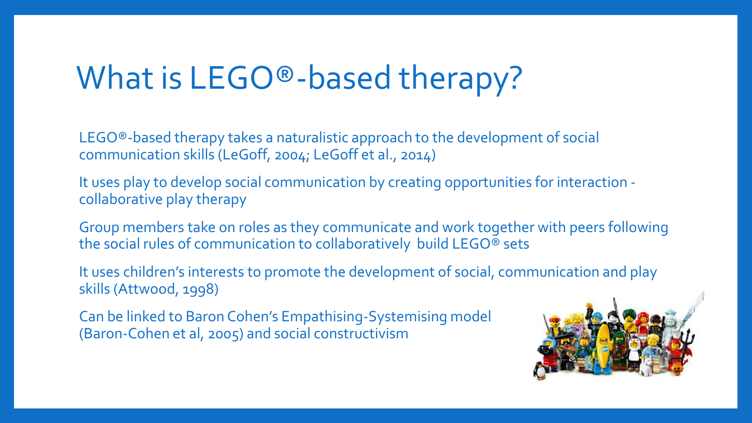# What is LEGO<sup>®</sup>-based therapy?

LEGO®-based therapy takes a naturalistic approach to the development of social communication skills (LeGoff, 2004; LeGoff et al., 2014)

It uses play to develop social communication by creating opportunities for interaction collaborative play therapy

Group members take on roles as they communicate and work together with peers following the social rules of communication to collaboratively build LEGO® sets

It uses children's interests to promote the development of social, communication and play skills (Attwood, 1998)

Can be linked to Baron Cohen's Empathising-Systemising model (Baron-Cohen et al, 2005) and social constructivism

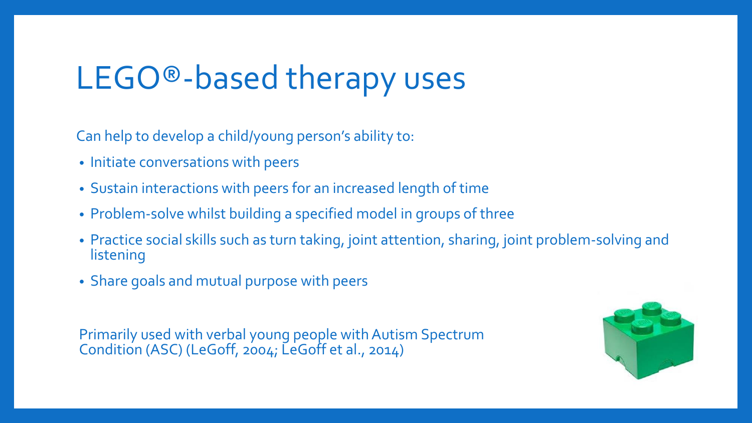## LEGO®-based therapy uses

Can help to develop a child/young person's ability to:

- Initiate conversations with peers
- Sustain interactions with peers for an increased length of time
- Problem-solve whilst building a specified model in groups of three
- Practice social skills such as turn taking, joint attention, sharing, joint problem-solving and listening
- Share goals and mutual purpose with peers

Primarily used with verbal young people with Autism Spectrum Condition (ASC) (LeGoff, 2004; LeGoff et al., 2014)

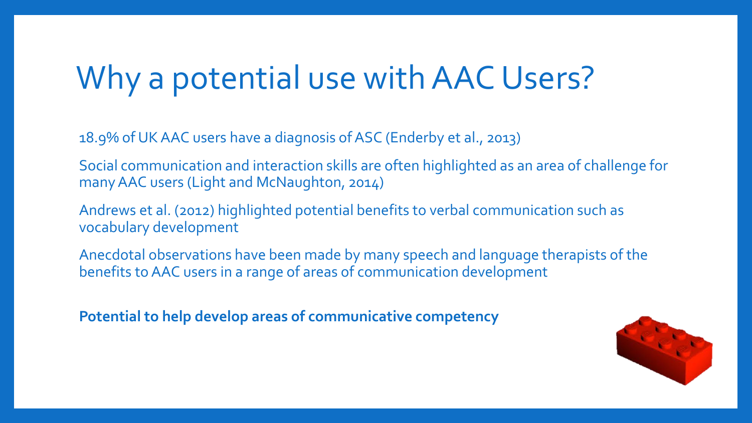# Why a potential use with AAC Users?

18.9% of UK AAC users have a diagnosis of ASC (Enderby et al., 2013)

Social communication and interaction skills are often highlighted as an area of challenge for many AAC users (Light and McNaughton, 2014)

Andrews et al. (2012) highlighted potential benefits to verbal communication such as vocabulary development

Anecdotal observations have been made by many speech and language therapists of the benefits to AAC users in a range of areas of communication development

**Potential to help develop areas of communicative competency**

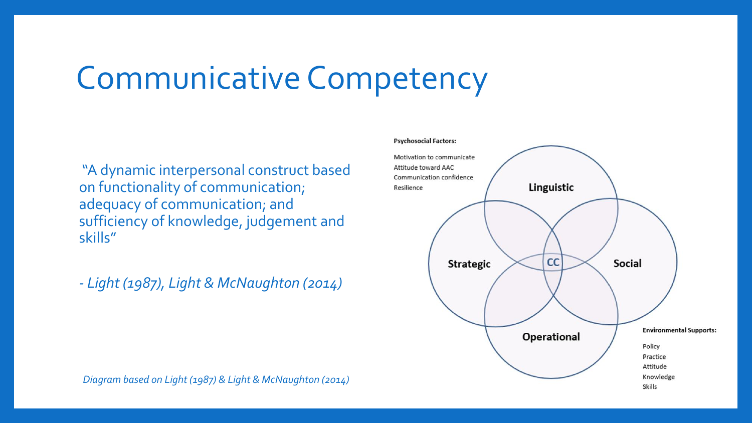## Communicative Competency

"A dynamic interpersonal construct based on functionality of communication; adequacy of communication; and sufficiency of knowledge, judgement and skills"

*- Light (1987), Light & McNaughton (2014)*

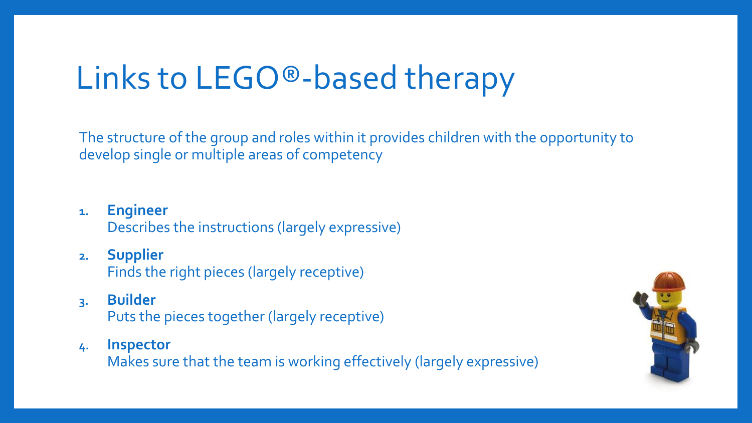# Links to LEGO®-based therapy

The structure of the group and roles within it provides children with the opportunity to develop single or multiple areas of competency

- **1. Engineer** Describes the instructions (largely expressive)
- **2. Supplier** Finds the right pieces (largely receptive)
- **3. Builder**  Puts the pieces together (largely receptive)
- **4. Inspector**

Makes sure that the team is working effectively (largely expressive)

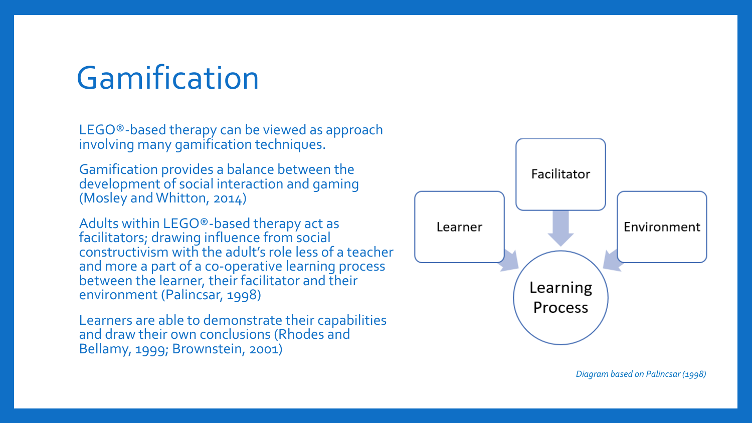### Gamification

LEGO® -based therapy can be viewed as approach involving many gamification techniques.

Gamification provides a balance between the development of social interaction and gaming (Mosley and Whitton, 2014)

Adults within LEGO® -based therapy act as facilitators; drawing influence from social constructivism with the adult's role less of a teacher and more a part of a co -operative learning process between the learner, their facilitator and their environment (Palincsar, 1998)

Learners are able to demonstrate their capabilities and draw their own conclusions (Rhodes and Bellamy, 1999; Brownstein, 2001)



*Diagram based on Palincsar (1998)*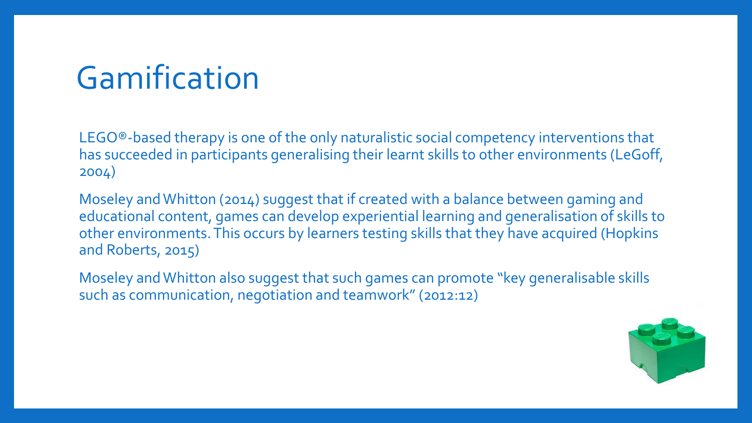## Gamification

LEGO®-based therapy is one of the only naturalistic social competency interventions that has succeeded in participants generalising their learnt skills to other environments (LeGoff, 2004)

Moseley and Whitton (2014) suggest that if created with a balance between gaming and educational content, games can develop experiential learning and generalisation of skills to other environments. This occurs by learners testing skills that they have acquired (Hopkins and Roberts, 2015)

Moseley and Whitton also suggest that such games can promote "key generalisable skills such as communication, negotiation and teamwork" (2012:12)

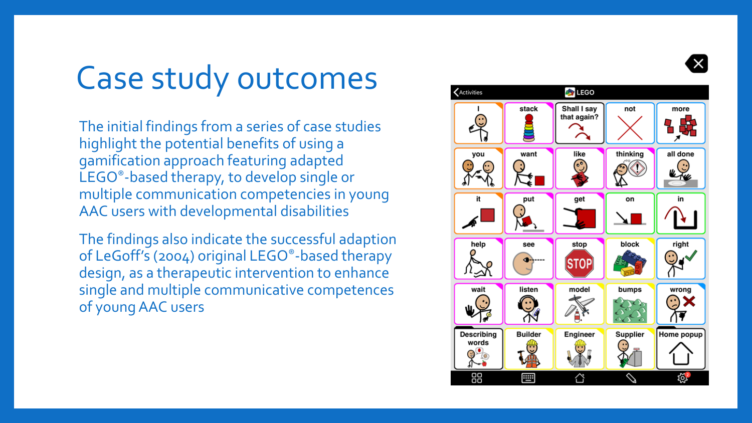

#### Case study outcomes

The initial findings from a series of case studies highlight the potential benefits of using a gamification approach featuring adapted LEGO®-based therapy, to develop single or multiple communication competencies in young AAC users with developmental disabilities

The findings also indicate the successful adaption of LeGoff's (2004) original LEGO®-based therapy design, as a therapeutic intervention to enhance single and multiple communicative competences of young AAC users

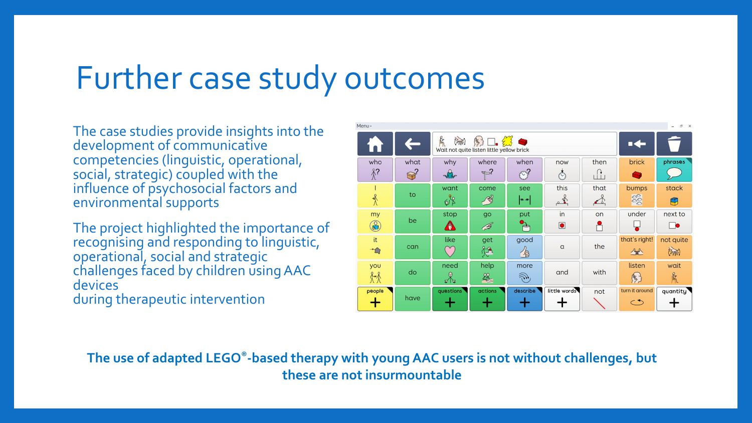#### Further case study outcomes

The case studies provide insights into the development of communicative competencies (linguistic, operational, social, strategic) coupled with the influence of psychosocial factors and environmental supports

The project highlighted the importance of recognising and responding to linguistic, operational, social and strategic challenges faced by children using AAC devices during therapeutic intervention

|  | Menu -<br>F X<br>$\overline{\phantom{a}}$ |                |                                                                                                        |               |                                       |                |                                        |                |                          |  |
|--|-------------------------------------------|----------------|--------------------------------------------------------------------------------------------------------|---------------|---------------------------------------|----------------|----------------------------------------|----------------|--------------------------|--|
|  |                                           |                | $\mathbb{F}$<br>$\mathbb{S} \square \mathbb{Z}$<br>( MN )<br>Wait not quite listen little yellow brick |               |                                       |                |                                        |                |                          |  |
|  | who                                       | what           | why                                                                                                    | where         | when                                  | now            | then                                   | brick          | phrases                  |  |
|  | $\hat{\chi}$ ?                            | $\mathbb{S}^2$ | $\sqrt{\frac{1}{10}}$                                                                                  | $P$ ?         | $\odot$ ?                             | $\circledcirc$ | $\begin{bmatrix} 1 \\ 1 \end{bmatrix}$ | Æ              |                          |  |
|  |                                           |                | want                                                                                                   | come          | see                                   | this           | that                                   | bumps          | stack                    |  |
|  | $\frac{2}{\lambda}$                       | to             | 68                                                                                                     | $\mathscr{E}$ | $\bullet\bullet$                      | $\frac{1}{2}$  | $\rightarrow$                          | $\frac{1}{2}$  | $\bigoplus$              |  |
|  | my                                        |                | stop                                                                                                   | go            | put                                   | in             | on                                     | under          | next to                  |  |
|  | $\mathbb{C}$                              | be             | O                                                                                                      | B             | $\Rightarrow$                         | $\bullet$      |                                        |                | $\overline{\phantom{a}}$ |  |
|  | it                                        |                | like                                                                                                   | get           | good                                  |                |                                        | that's right!  | not quite                |  |
|  | $\overline{C}$                            | can            |                                                                                                        | 炉             | 省                                     | $\alpha$       | the                                    | 全              | (2mg)                    |  |
|  | you                                       | do             | need                                                                                                   | help          | more                                  | and            | with                                   | listen         | wait                     |  |
|  | 8-8                                       |                | ⊕<br>ছ'ছি                                                                                              | 28            | $\widehat{\mathcal{L}}_{\mathcal{F}}$ |                |                                        | 馬              | R                        |  |
|  | people                                    |                | questions                                                                                              | actions       | describe                              | little words   | not                                    | turn it around | quantity                 |  |
|  |                                           | have           |                                                                                                        |               |                                       |                |                                        | $\subset$      |                          |  |

**The use of adapted LEGO®-based therapy with young AAC users is not without challenges, but these are not insurmountable**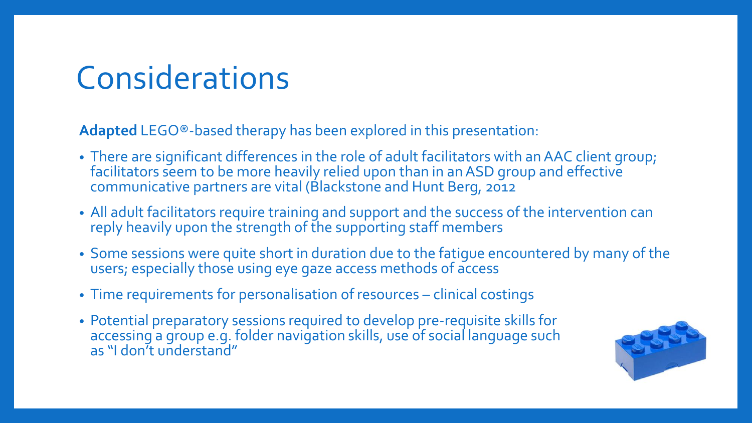### Considerations

**Adapted** LEGO®-based therapy has been explored in this presentation:

- There are significant differences in the role of adult facilitators with an AAC client group; facilitators seem to be more heavily relied upon than in an ASD group and effective communicative partners are vital (Blackstone and Hunt Berg, 2012
- All adult facilitators require training and support and the success of the intervention can reply heavily upon the strength of the supporting staff members
- Some sessions were quite short in duration due to the fatigue encountered by many of the users; especially those using eye gaze access methods of access
- Time requirements for personalisation of resources clinical costings
- Potential preparatory sessions required to develop pre-requisite skills for accessing a group e.g. folder navigation skills, use of social language such as "I don't understand"

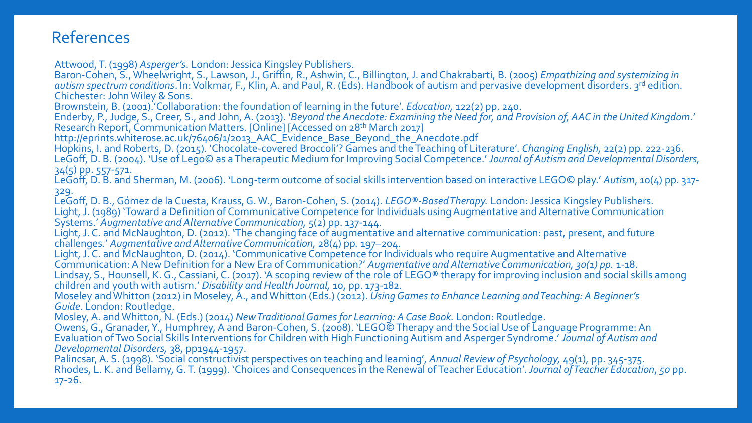#### References

Attwood, T. (1998) *Asperger's*. London: Jessica Kingsley Publishers.

Baron-Cohen, S., Wheelwright, S., Lawson, J., Griffin, R., Ashwin, C., Billington, J. and Chakrabarti, B. (2005) *Empathizing and systemizing in autism spectrum conditions*. In: Volkmar, F., Klin, A. and Paul, R. (Eds). Handbook of autism and pervasive development disorders. 3rd edition. Chichester: John Wiley & Sons.

Brownstein, B. (2001).'Collaboration: the foundation of learning in the future'. *Education,* 122(2) pp. 240.

Enderby, P., Judge, S., Creer, S., and John, A. (2013). '*Beyond the Anecdote: Examining the Need for, and Provision of, AAC in the United Kingdom*.' Research Report, Communication Matters. [Online] [Accessed on 28th March 2017]

http://eprints.whiterose.ac.uk/76406/1/2013\_AAC\_Evidence\_Base\_Beyond\_the\_Anecdote.pdf

Hopkins, I. and Roberts, D. (2015). 'Chocolate-covered Broccoli'? Games and the Teaching of Literature'. *Changing English,* 22(2) pp. 222-236. LeGoff, D. B. (2004). 'Use of Lego© as a Therapeutic Medium for Improving Social Competence.' Journal of Autism and Developmental Disorders, 34(5) pp. 557-571.

LeGoff, D. B. and Sherman, M. (2006). 'Long-term outcome of social skills intervention based on interactive LEGO© play.' *Autism*, 10(4) pp. 317- 329.

LeGoff, D. B., Gómez de la Cuesta, Krauss, G. W., Baron-Cohen, S. (2014). *LEGO®-Based Therapy.* London: Jessica Kingsley Publishers. Light, J. (1989) 'Toward a Definition of Communicative Competence for Individuals using Augmentative and Alternative Communication Systems.' *Augmentative and Alternative Communication,* 5(2) pp. 137-144.

Light, J. C. and McNaughton, D. (2012). 'The changing face of augmentative and alternative communication: past, present, and future challenges.' *Augmentative and Alternative Communication,* 28(4) pp*.* 197–204.

Light, J. C. and McNaughton, D. (2014). 'Communicative Competence for Individuals who require Augmentative and Alternative Communication: A New Definition for a New Era of Communication?' *Augmentative and Alternative Communication, 30(1) pp.* 1-18.

Lindsay, S., Hounsell, K. G., Cassiani, C. (2017). 'A scoping review of the role of LEGO® therapy for improving inclusion and social skills among children and youth with autism.' *Disability and Health Journal,* 10, pp. 173-182.

Moseley and Whitton (2012) in Moseley, A., andWhitton (Eds.) (2012). *Using Games to Enhance Learning and Teaching: A Beginner's Guide*. London: Routledge.

Mosley, A. and Whitton, N. (Eds.) (2014) *New Traditional Games for Learning: A Case Book.* London: Routledge.

Owens, G., Granader, Y., Humphrey, A and Baron-Cohen, S. (2008). 'LEGO© Therapy and the Social Use of Language Programme: An Evaluation of Two Social Skills Interventions for Children with High Functioning Autism and Asperger Syndrome.' *Journal of Autism and Developmental Disorders,* 38, pp1944-1957.

Palincsar, A. S. (1998). 'Social constructivist perspectives on teaching and learning', *Annual Review of Psychology,* 49(1), pp. 345-375. Rhodes, L. K. and Bellamy, G. T. (1999). 'Choices and Consequences in the Renewal of Teacher Education'. *Journal of Teacher Education*, *50* pp. 17-26.